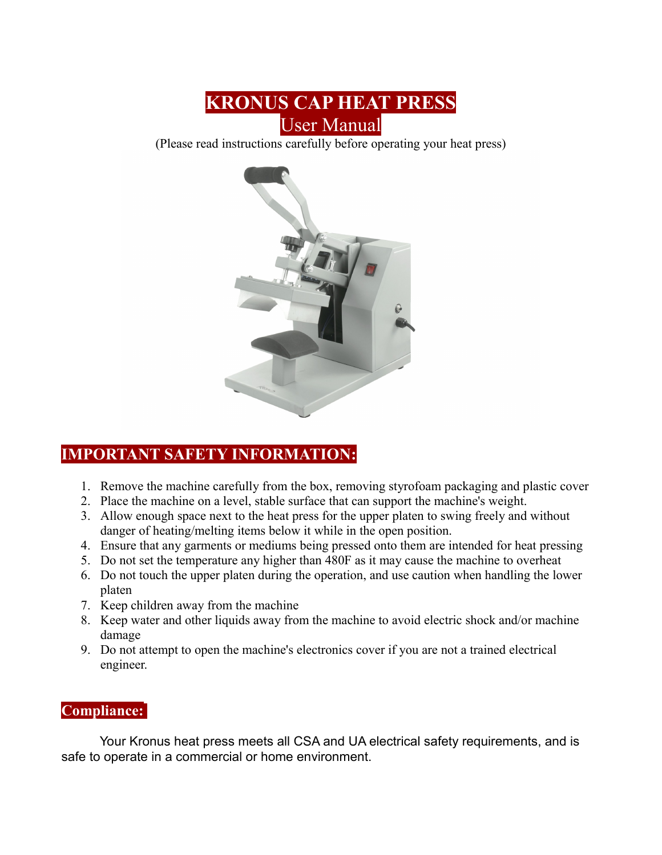

(Please read instructions carefully before operating your heat press)



# **IMPORTANT SAFETY INFORMATION:**

- 1. Remove the machine carefully from the box, removing styrofoam packaging and plastic cover
- 2. Place the machine on a level, stable surface that can support the machine's weight.
- 3. Allow enough space next to the heat press for the upper platen to swing freely and without danger of heating/melting items below it while in the open position.
- 4. Ensure that any garments or mediums being pressed onto them are intended for heat pressing
- 5. Do not set the temperature any higher than 480F as it may cause the machine to overheat
- 6. Do not touch the upper platen during the operation, and use caution when handling the lower platen
- 7. Keep children away from the machine
- 8. Keep water and other liquids away from the machine to avoid electric shock and/or machine damage
- 9. Do not attempt to open the machine's electronics cover if you are not a trained electrical engineer.

#### **Compliance:**

Your Kronus heat press meets all CSA and UA electrical safety requirements, and is safe to operate in a commercial or home environment.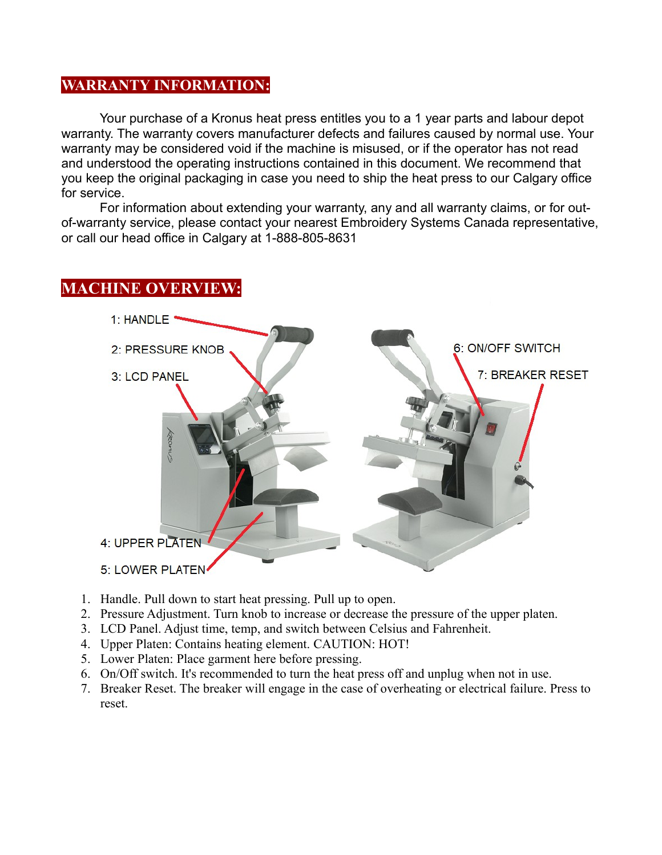# **WARRANTY INFORMATION:**

Your purchase of a Kronus heat press entitles you to a 1 year parts and labour depot warranty. The warranty covers manufacturer defects and failures caused by normal use. Your warranty may be considered void if the machine is misused, or if the operator has not read and understood the operating instructions contained in this document. We recommend that you keep the original packaging in case you need to ship the heat press to our Calgary office for service.

For information about extending your warranty, any and all warranty claims, or for outof-warranty service, please contact your nearest Embroidery Systems Canada representative, or call our head office in Calgary at 1-888-805-8631

#### **MACHINE OVERVIEW:**



- 1. Handle. Pull down to start heat pressing. Pull up to open.
- 2. Pressure Adjustment. Turn knob to increase or decrease the pressure of the upper platen.
- 3. LCD Panel. Adjust time, temp, and switch between Celsius and Fahrenheit.
- 4. Upper Platen: Contains heating element. CAUTION: HOT!
- 5. Lower Platen: Place garment here before pressing.
- 6. On/Off switch. It's recommended to turn the heat press off and unplug when not in use.
- 7. Breaker Reset. The breaker will engage in the case of overheating or electrical failure. Press to reset.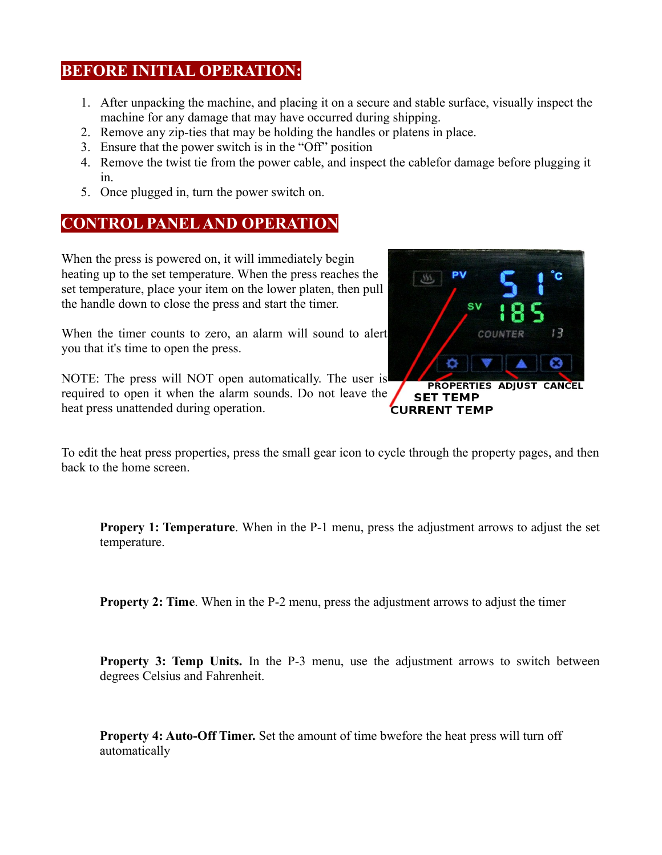### **BEFORE INITIAL OPERATION:**

- 1. After unpacking the machine, and placing it on a secure and stable surface, visually inspect the machine for any damage that may have occurred during shipping.
- 2. Remove any zip-ties that may be holding the handles or platens in place.
- 3. Ensure that the power switch is in the "Off" position
- 4. Remove the twist tie from the power cable, and inspect the cablefor damage before plugging it in.
- 5. Once plugged in, turn the power switch on.

# **CONTROL PANEL AND OPERATION**

When the press is powered on, it will immediately begin heating up to the set temperature. When the press reaches the set temperature, place your item on the lower platen, then pull the handle down to close the press and start the timer.

When the timer counts to zero, an alarm will sound to alert you that it's time to open the press.

NOTE: The press will NOT open automatically. The user is required to open it when the alarm sounds. Do not leave the heat press unattended during operation.



To edit the heat press properties, press the small gear icon to cycle through the property pages, and then back to the home screen.

**Propery 1: Temperature**. When in the P-1 menu, press the adjustment arrows to adjust the set temperature.

**Property 2: Time**. When in the P-2 menu, press the adjustment arrows to adjust the timer

**Property 3: Temp Units.** In the P-3 menu, use the adjustment arrows to switch between degrees Celsius and Fahrenheit.

**Property 4: Auto-Off Timer.** Set the amount of time bwefore the heat press will turn off automatically